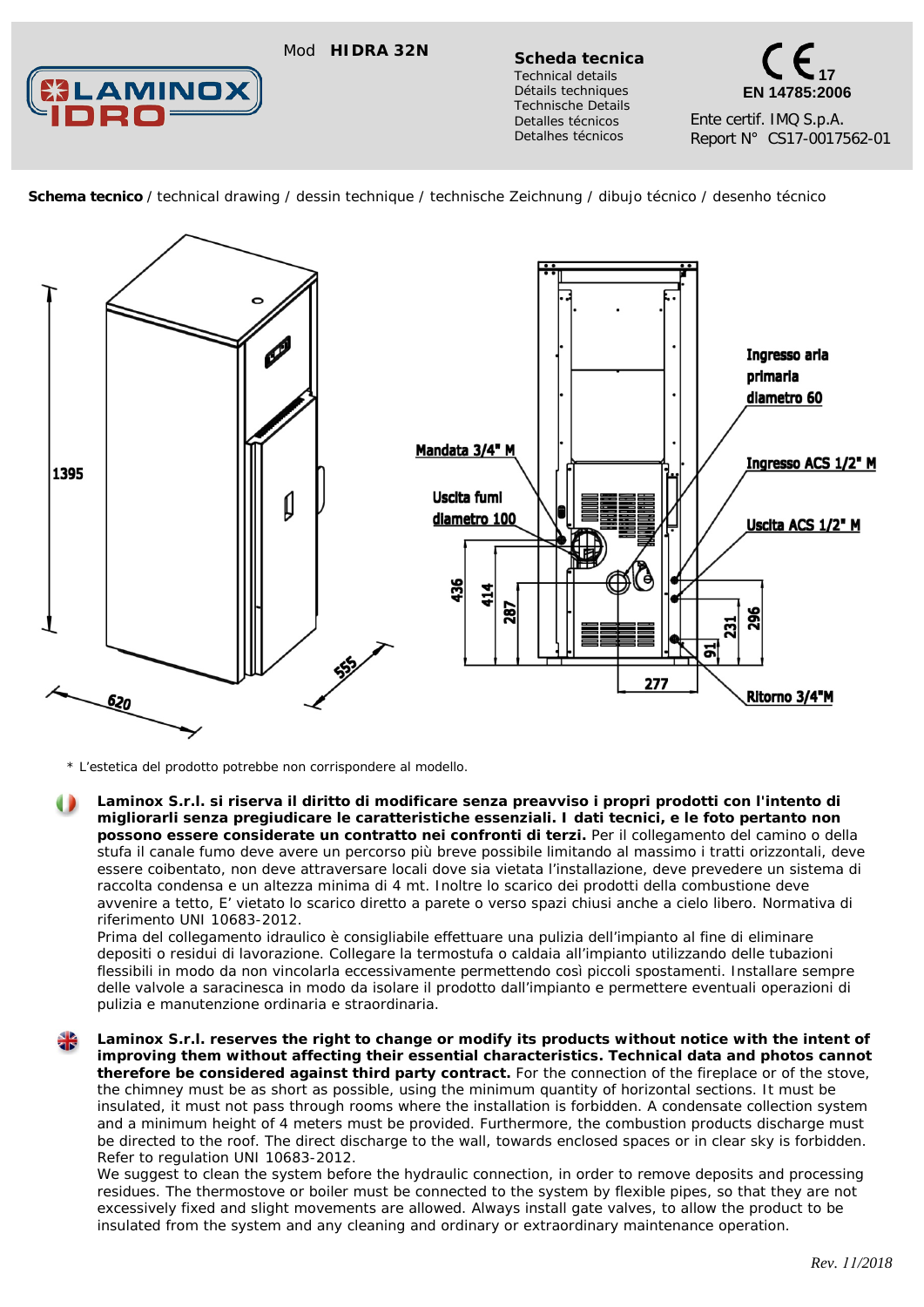## Mod **HIDRA 32N Scheda tecnica**



*Technical details Détails techniques Technische Details Detalles técnicos Detalhes técnicos*

**17 EN 14785:2006** Ente certif. IMQ S.p.A. Report N° CS17-0017562-01

 **Schema tecnico** / technical drawing / dessin technique / technische Zeichnung / dibujo técnico / desenho técnico



*\* L'estetica del prodotto potrebbe non corrispondere al modello.*

**Laminox S.r.l. si riserva il diritto di modificare senza preavviso i propri prodotti con l'intento di migliorarli senza pregiudicare le caratteristiche essenziali. I dati tecnici, e le foto pertanto non possono essere considerate un contratto nei confronti di terzi.** Per il collegamento del camino o della stufa il canale fumo deve avere un percorso più breve possibile limitando al massimo i tratti orizzontali, deve essere coibentato, non deve attraversare locali dove sia vietata l'installazione, deve prevedere un sistema di raccolta condensa e un altezza minima di 4 mt. Inoltre lo scarico dei prodotti della combustione deve avvenire a tetto, E' vietato lo scarico diretto a parete o verso spazi chiusi anche a cielo libero. Normativa di riferimento UNI 10683-2012.

Prima del collegamento idraulico è consigliabile effettuare una pulizia dell'impianto al fine di eliminare depositi o residui di lavorazione. Collegare la termostufa o caldaia all'impianto utilizzando delle tubazioni flessibili in modo da non vincolarla eccessivamente permettendo così piccoli spostamenti. Installare sempre delle valvole a saracinesca in modo da isolare il prodotto dall'impianto e permettere eventuali operazioni di pulizia e manutenzione ordinaria e straordinaria.

Laminox S.r.l. reserves the right to change or modify its products without notice with the intent of *improving them without affecting their essential characteristics. Technical data and photos cannot therefore be considered against third party contract. For the connection of the fireplace or of the stove, the chimney must be as short as possible, using the minimum quantity of horizontal sections. It must be insulated, it must not pass through rooms where the installation is forbidden. A condensate collection system and a minimum height of 4 meters must be provided. Furthermore, the combustion products discharge must*  be directed to the roof. The direct discharge to the wall, towards enclosed spaces or in clear sky is forbidden. *Refer to regulation UNI 10683-2012.*

*We suggest to clean the system before the hydraulic connection, in order to remove deposits and processing residues. The thermostove or boiler must be connected to the system by flexible pipes, so that they are not excessively fixed and slight movements are allowed. Always install gate valves, to allow the product to be insulated from the system and any cleaning and ordinary or extraordinary maintenance operation.*